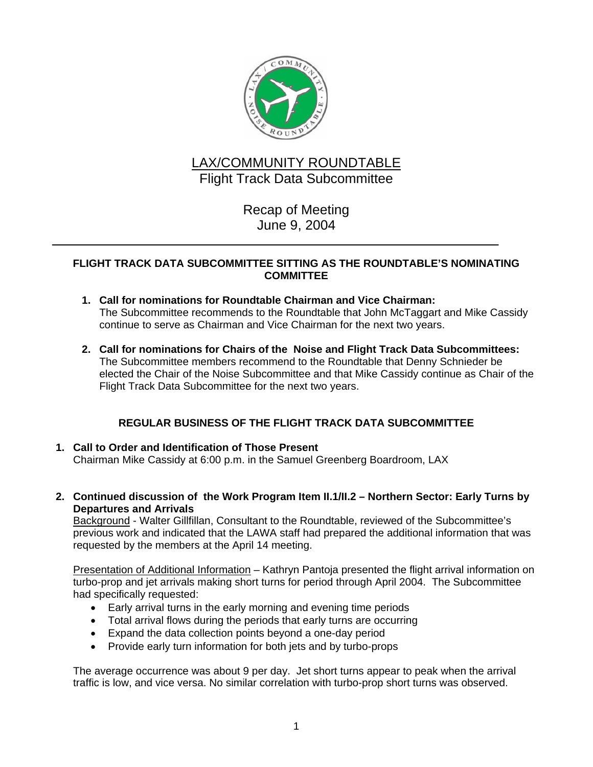

# LAX/COMMUNITY ROUNDTABLE Flight Track Data Subcommittee

Recap of Meeting June 9, 2004

### **FLIGHT TRACK DATA SUBCOMMITTEE SITTING AS THE ROUNDTABLE'S NOMINATING COMMITTEE**

- **1. Call for nominations for Roundtable Chairman and Vice Chairman:**  The Subcommittee recommends to the Roundtable that John McTaggart and Mike Cassidy continue to serve as Chairman and Vice Chairman for the next two years.
- **2. Call for nominations for Chairs of the Noise and Flight Track Data Subcommittees:** The Subcommittee members recommend to the Roundtable that Denny Schnieder be elected the Chair of the Noise Subcommittee and that Mike Cassidy continue as Chair of the Flight Track Data Subcommittee for the next two years.

# **REGULAR BUSINESS OF THE FLIGHT TRACK DATA SUBCOMMITTEE**

- **1. Call to Order and Identification of Those Present**  Chairman Mike Cassidy at 6:00 p.m. in the Samuel Greenberg Boardroom, LAX
- **2. Continued discussion of the Work Program Item II.1/II.2 Northern Sector: Early Turns by Departures and Arrivals**

Background - Walter Gillfillan, Consultant to the Roundtable, reviewed of the Subcommittee's previous work and indicated that the LAWA staff had prepared the additional information that was requested by the members at the April 14 meeting.

Presentation of Additional Information – Kathryn Pantoja presented the flight arrival information on turbo-prop and jet arrivals making short turns for period through April 2004. The Subcommittee had specifically requested:

- Early arrival turns in the early morning and evening time periods
- Total arrival flows during the periods that early turns are occurring
- Expand the data collection points beyond a one-day period
- Provide early turn information for both jets and by turbo-props

The average occurrence was about 9 per day. Jet short turns appear to peak when the arrival traffic is low, and vice versa. No similar correlation with turbo-prop short turns was observed.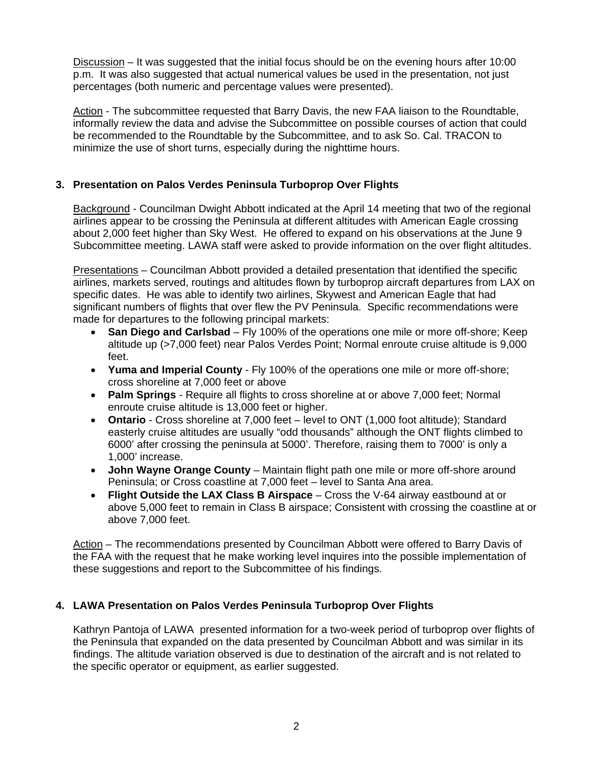Discussion – It was suggested that the initial focus should be on the evening hours after 10:00 p.m. It was also suggested that actual numerical values be used in the presentation, not just percentages (both numeric and percentage values were presented).

Action - The subcommittee requested that Barry Davis, the new FAA liaison to the Roundtable, informally review the data and advise the Subcommittee on possible courses of action that could be recommended to the Roundtable by the Subcommittee, and to ask So. Cal. TRACON to minimize the use of short turns, especially during the nighttime hours.

## **3. Presentation on Palos Verdes Peninsula Turboprop Over Flights**

Background - Councilman Dwight Abbott indicated at the April 14 meeting that two of the regional airlines appear to be crossing the Peninsula at different altitudes with American Eagle crossing about 2,000 feet higher than Sky West. He offered to expand on his observations at the June 9 Subcommittee meeting. LAWA staff were asked to provide information on the over flight altitudes.

Presentations – Councilman Abbott provided a detailed presentation that identified the specific airlines, markets served, routings and altitudes flown by turboprop aircraft departures from LAX on specific dates. He was able to identify two airlines, Skywest and American Eagle that had significant numbers of flights that over flew the PV Peninsula. Specific recommendations were made for departures to the following principal markets:

- **San Diego and Carlsbad** Fly 100% of the operations one mile or more off-shore; Keep altitude up (>7,000 feet) near Palos Verdes Point; Normal enroute cruise altitude is 9,000 feet.
- **Yuma and Imperial County** Fly 100% of the operations one mile or more off-shore; cross shoreline at 7,000 feet or above
- **Palm Springs** Require all flights to cross shoreline at or above 7,000 feet; Normal enroute cruise altitude is 13,000 feet or higher.
- **Ontario** Cross shoreline at 7,000 feet level to ONT (1,000 foot altitude); Standard easterly cruise altitudes are usually "odd thousands" although the ONT flights climbed to 6000' after crossing the peninsula at 5000'. Therefore, raising them to 7000' is only a 1,000' increase.
- **John Wayne Orange County** Maintain flight path one mile or more off-shore around Peninsula; or Cross coastline at 7,000 feet – level to Santa Ana area.
- **Flight Outside the LAX Class B Airspace** Cross the V-64 airway eastbound at or above 5,000 feet to remain in Class B airspace; Consistent with crossing the coastline at or above 7,000 feet.

Action – The recommendations presented by Councilman Abbott were offered to Barry Davis of the FAA with the request that he make working level inquires into the possible implementation of these suggestions and report to the Subcommittee of his findings.

#### **4. LAWA Presentation on Palos Verdes Peninsula Turboprop Over Flights**

Kathryn Pantoja of LAWA presented information for a two-week period of turboprop over flights of the Peninsula that expanded on the data presented by Councilman Abbott and was similar in its findings. The altitude variation observed is due to destination of the aircraft and is not related to the specific operator or equipment, as earlier suggested.